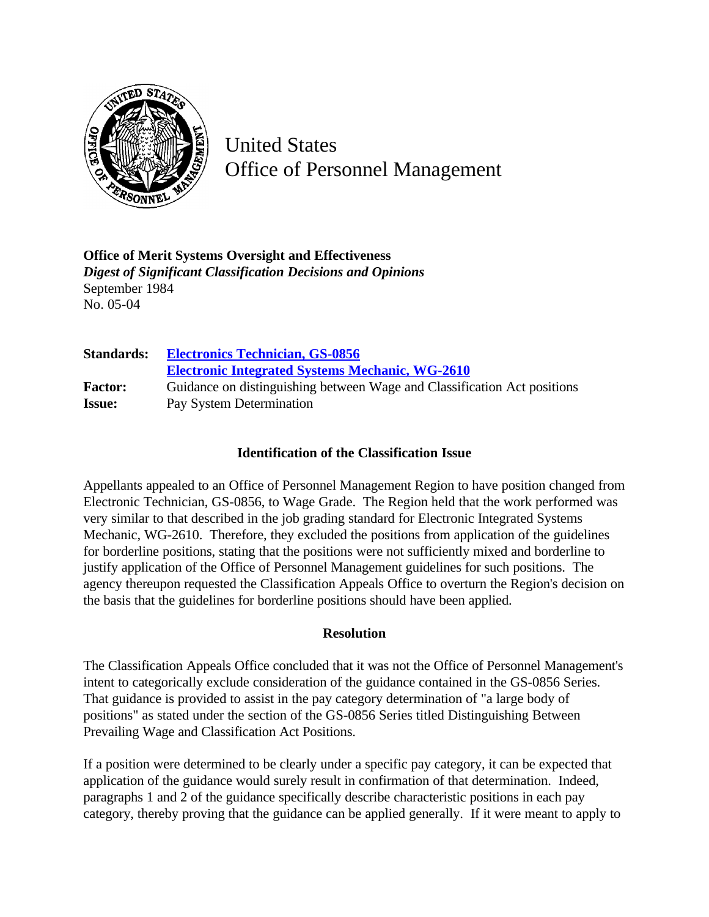

United States Office of Personnel Management

**Office of Merit Systems Oversight and Effectiveness** *Digest of Significant Classification Decisions and Opinions* September 1984 No. 05-04

| <b>Standards:</b> | <b>Electronics Technician, GS-0856</b><br><b>Electronic Integrated Systems Mechanic, WG-2610</b> |
|-------------------|--------------------------------------------------------------------------------------------------|
| <b>Factor:</b>    | Guidance on distinguishing between Wage and Classification Act positions                         |
| <b>Issue:</b>     | Pay System Determination                                                                         |

## **Identification of the Classification Issue**

Appellants appealed to an Office of Personnel Management Region to have position changed from Electronic Technician, GS-0856, to Wage Grade. The Region held that the work performed was very similar to that described in the job grading standard for Electronic Integrated Systems Mechanic, WG-2610. Therefore, they excluded the positions from application of the guidelines for borderline positions, stating that the positions were not sufficiently mixed and borderline to justify application of the Office of Personnel Management guidelines for such positions. The agency thereupon requested the Classification Appeals Office to overturn the Region's decision on the basis that the guidelines for borderline positions should have been applied.

## **Resolution**

The Classification Appeals Office concluded that it was not the Office of Personnel Management's intent to categorically exclude consideration of the guidance contained in the GS-0856 Series. That guidance is provided to assist in the pay category determination of "a large body of positions" as stated under the section of the GS-0856 Series titled Distinguishing Between Prevailing Wage and Classification Act Positions.

If a position were determined to be clearly under a specific pay category, it can be expected that application of the guidance would surely result in confirmation of that determination. Indeed, paragraphs 1 and 2 of the guidance specifically describe characteristic positions in each pay category, thereby proving that the guidance can be applied generally. If it were meant to apply to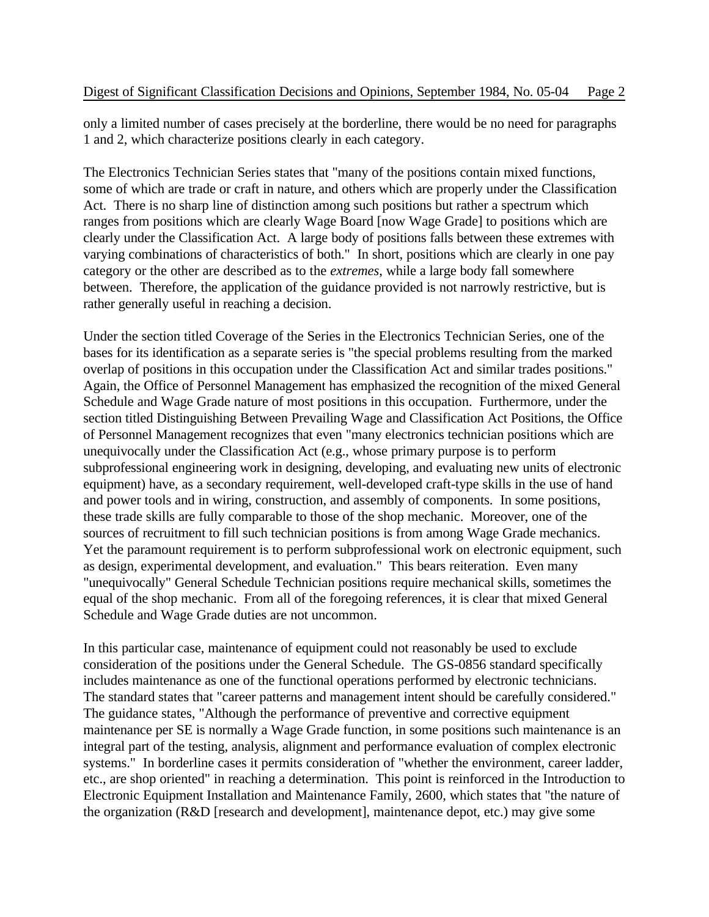only a limited number of cases precisely at the borderline, there would be no need for paragraphs 1 and 2, which characterize positions clearly in each category.

The Electronics Technician Series states that "many of the positions contain mixed functions, some of which are trade or craft in nature, and others which are properly under the Classification Act. There is no sharp line of distinction among such positions but rather a spectrum which ranges from positions which are clearly Wage Board [now Wage Grade] to positions which are clearly under the Classification Act. A large body of positions falls between these extremes with varying combinations of characteristics of both." In short, positions which are clearly in one pay category or the other are described as to the *extremes*, while a large body fall somewhere between. Therefore, the application of the guidance provided is not narrowly restrictive, but is rather generally useful in reaching a decision.

Under the section titled Coverage of the Series in the Electronics Technician Series, one of the bases for its identification as a separate series is "the special problems resulting from the marked overlap of positions in this occupation under the Classification Act and similar trades positions." Again, the Office of Personnel Management has emphasized the recognition of the mixed General Schedule and Wage Grade nature of most positions in this occupation. Furthermore, under the section titled Distinguishing Between Prevailing Wage and Classification Act Positions, the Office of Personnel Management recognizes that even "many electronics technician positions which are unequivocally under the Classification Act (e.g., whose primary purpose is to perform subprofessional engineering work in designing, developing, and evaluating new units of electronic equipment) have, as a secondary requirement, well-developed craft-type skills in the use of hand and power tools and in wiring, construction, and assembly of components. In some positions, these trade skills are fully comparable to those of the shop mechanic. Moreover, one of the sources of recruitment to fill such technician positions is from among Wage Grade mechanics. Yet the paramount requirement is to perform subprofessional work on electronic equipment, such as design, experimental development, and evaluation." This bears reiteration. Even many "unequivocally" General Schedule Technician positions require mechanical skills, sometimes the equal of the shop mechanic. From all of the foregoing references, it is clear that mixed General Schedule and Wage Grade duties are not uncommon.

In this particular case, maintenance of equipment could not reasonably be used to exclude consideration of the positions under the General Schedule. The GS-0856 standard specifically includes maintenance as one of the functional operations performed by electronic technicians. The standard states that "career patterns and management intent should be carefully considered." The guidance states, "Although the performance of preventive and corrective equipment maintenance per SE is normally a Wage Grade function, in some positions such maintenance is an integral part of the testing, analysis, alignment and performance evaluation of complex electronic systems." In borderline cases it permits consideration of "whether the environment, career ladder, etc., are shop oriented" in reaching a determination. This point is reinforced in the Introduction to Electronic Equipment Installation and Maintenance Family, 2600, which states that "the nature of the organization (R&D [research and development], maintenance depot, etc.) may give some